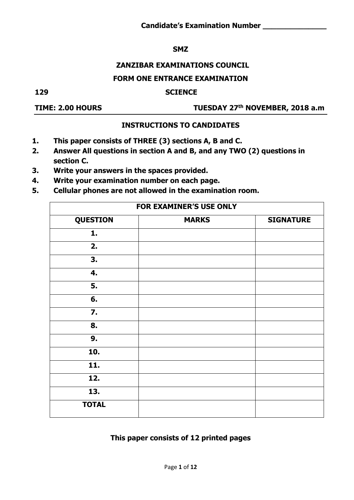#### **SMZ**

## **ZANZIBAR EXAMINATIONS COUNCIL**

#### **FORM ONE ENTRANCE EXAMINATION**

#### **129 SCIENCE**

### **TIME: 2.00 HOURS**

#### **th NOVEMBER, 2018 a.m**

#### **INSTRUCTIONS TO CANDIDATES**

- **1. This paper consists of THREE (3) sections A, B and C.**
- **2. Answer All questions in section A and B, and any TWO (2) questions in section C.**
- **3. Write your answers in the spaces provided.**
- **4. Write your examination number on each page.**
- **5. Cellular phones are not allowed in the examination room.**

|                 | FOR EXAMINER'S USE ONLY |                  |
|-----------------|-------------------------|------------------|
| <b>QUESTION</b> | <b>MARKS</b>            | <b>SIGNATURE</b> |
| 1.              |                         |                  |
| 2.              |                         |                  |
| 3.              |                         |                  |
| 4.              |                         |                  |
| 5.              |                         |                  |
| 6.              |                         |                  |
| $\mathbf{7}$ .  |                         |                  |
| 8.              |                         |                  |
| 9.              |                         |                  |
| 10.             |                         |                  |
| 11.             |                         |                  |
| 12.             |                         |                  |
| 13.             |                         |                  |
| <b>TOTAL</b>    |                         |                  |

#### **This paper consists of 12 printed pages**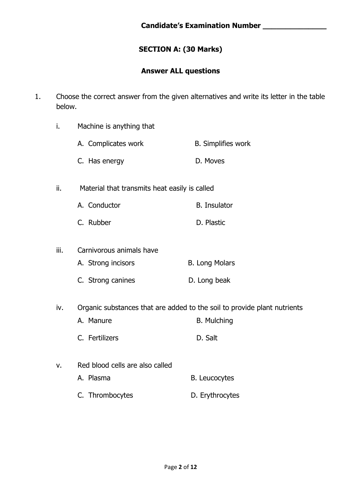## **SECTION A: (30 Marks)**

#### **Answer ALL questions**

- 1. Choose the correct answer from the given alternatives and write its letter in the table below.
	- i. Machine is anything that
		- A. Complicates work B. Simplifies work
		- C. Has energy D. Moves
	- ii. Material that transmits heat easily is called
		- A. Conductor B. Insulator
			- C. Rubber D. Plastic
	- iii. Carnivorous animals have A. Strong incisors B. Long Molars C. Strong canines D. Long beak
	- iv. Organic substances that are added to the soil to provide plant nutrients
		- A. Manure B. Mulching
			- C. Fertilizers **D. Salt**
	- v. Red blood cells are also called A. Plasma B. Leucocytes
		- C. Thrombocytes **D. Erythrocytes**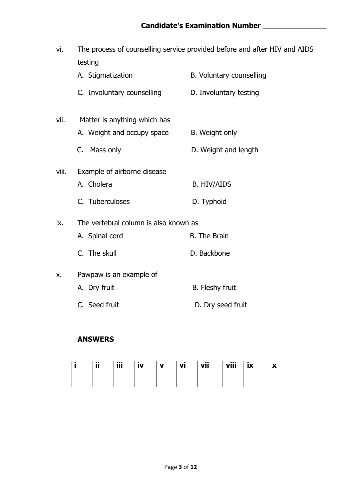| vi.   | testing                               | The process of counselling service provided before and after HIV and AIDS |
|-------|---------------------------------------|---------------------------------------------------------------------------|
|       | A. Stigmatization                     | B. Voluntary counselling                                                  |
|       | C. Involuntary counselling            | D. Involuntary testing                                                    |
| vii.  | Matter is anything which has          |                                                                           |
|       | A. Weight and occupy space            | B. Weight only                                                            |
|       | C. Mass only                          | D. Weight and length                                                      |
| viii. | Example of airborne disease           |                                                                           |
|       | A. Cholera                            | <b>B. HIV/AIDS</b>                                                        |
|       | C. Tuberculoses                       | D. Typhoid                                                                |
| ix.   | The vertebral column is also known as |                                                                           |
|       | A. Spinal cord                        | <b>B.</b> The Brain                                                       |
|       | C. The skull                          | D. Backbone                                                               |
| X.    | Pawpaw is an example of               |                                                                           |
|       | A. Dry fruit                          | <b>B.</b> Fleshy fruit                                                    |
|       | C. Seed fruit                         | D. Dry seed fruit                                                         |

#### **ANSWERS**

| ij | iii | <br>.v | v | vi | vii | viii | <b>ix</b> | $\overline{\phantom{a}}$<br>$\overline{\phantom{a}}$ |
|----|-----|--------|---|----|-----|------|-----------|------------------------------------------------------|
|    |     |        |   |    |     |      |           |                                                      |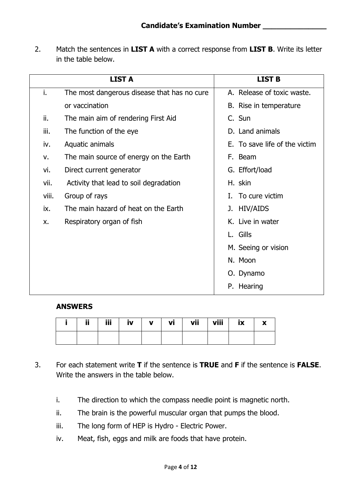2. Match the sentences in **LIST A** with a correct response from **LIST B**. Write its letter in the table below.

|       | <b>LIST A</b>                               | <b>LIST B</b>                 |
|-------|---------------------------------------------|-------------------------------|
| i.    | The most dangerous disease that has no cure | A. Release of toxic waste.    |
|       | or vaccination                              | B. Rise in temperature        |
| ii.   | The main aim of rendering First Aid         | C. Sun                        |
| iii.  | The function of the eye                     | D. Land animals               |
| iv.   | Aquatic animals                             | E. To save life of the victim |
| v.    | The main source of energy on the Earth      | F. Beam                       |
| vi.   | Direct current generator                    | G. Effort/load                |
| vii.  | Activity that lead to soil degradation      | H. skin                       |
| viii. | Group of rays                               | I. To cure victim             |
| ix.   | The main hazard of heat on the Earth        | J. HIV/AIDS                   |
| X.    | Respiratory organ of fish                   | K. Live in water              |
|       |                                             | L. Gills                      |
|       |                                             | M. Seeing or vision           |
|       |                                             | N. Moon                       |
|       |                                             | O. Dynamo                     |
|       |                                             | P. Hearing                    |

#### **ANSWERS**

| 88.<br>ш | <b>HIL</b><br>ш | IV | v | VĪ | vii | viii | w<br>$\overline{\phantom{a}}$ | $\mathbf{v}$ |
|----------|-----------------|----|---|----|-----|------|-------------------------------|--------------|
|          |                 |    |   |    |     |      |                               |              |

- 3. For each statement write **T** if the sentence is **TRUE** and **F** if the sentence is **FALSE**. Write the answers in the table below.
	- i. The direction to which the compass needle point is magnetic north.
	- ii. The brain is the powerful muscular organ that pumps the blood.
	- iii. The long form of HEP is Hydro Electric Power.
	- iv. Meat, fish, eggs and milk are foods that have protein.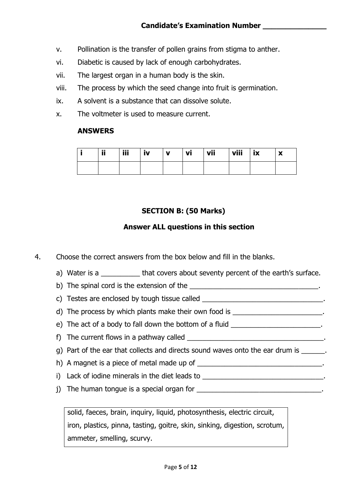- v. Pollination is the transfer of pollen grains from stigma to anther.
- vi. Diabetic is caused by lack of enough carbohydrates.
- vii. The largest organ in a human body is the skin.
- viii. The process by which the seed change into fruit is germination.
- ix. A solvent is a substance that can dissolve solute.
- x. The voltmeter is used to measure current.

#### **ANSWERS**

| ij | iii | IV | v | VI | vii | viii | w<br>IA | $\mathbf{v}$<br>A |
|----|-----|----|---|----|-----|------|---------|-------------------|
|    |     |    |   |    |     |      |         |                   |

## **SECTION B: (50 Marks)**

## **Answer ALL questions in this section**

- 4. Choose the correct answers from the box below and fill in the blanks.
	- a) Water is a \_\_\_\_\_\_\_\_\_\_ that covers about seventy percent of the earth's surface.
	- b) The spinal cord is the extension of the **with the set of the set of the set of the set of the set of the set of the set of the set of the set of the set of the set of the set of the set of the set of the set of the set**
	- c) Testes are enclosed by tough tissue called  $\blacksquare$
	- d) The process by which plants make their own food is \_\_\_\_\_\_\_\_\_\_\_\_\_\_\_\_\_\_\_\_\_\_\_\_.
	- e) The act of a body to fall down the bottom of a fluid
	- f) The current flows in a pathway called
	- g) Part of the ear that collects and directs sound waves onto the ear drum is
	- h) A magnet is a piece of metal made up of \_\_\_\_\_\_\_\_\_\_\_\_\_\_\_\_\_\_\_\_\_\_\_\_\_\_\_\_\_\_\_\_.
	- i) Lack of iodine minerals in the diet leads to the control of the state of the state of the state of the state of the state of the state of the state of the state of the state of the state of the state of the state of the
	- j) The human tongue is a special organ for

solid, faeces, brain, inquiry, liquid, photosynthesis, electric circuit, iron, plastics, pinna, tasting, goitre, skin, sinking, digestion, scrotum, ammeter, smelling, scurvy.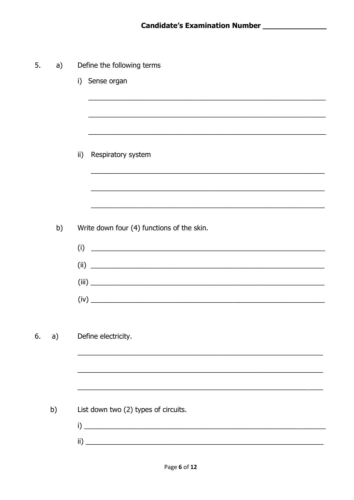| 5. | a) | Define the following terms                                                                                                                                  |
|----|----|-------------------------------------------------------------------------------------------------------------------------------------------------------------|
|    |    | i) Sense organ                                                                                                                                              |
|    |    |                                                                                                                                                             |
|    |    |                                                                                                                                                             |
|    |    | $\mathsf{ii}$<br>Respiratory system<br><u> 1999 - Johann John Stone, mars and de format de la provincia de la provincia de la provincia de la provincia</u> |
|    |    |                                                                                                                                                             |
|    |    |                                                                                                                                                             |
|    | b) | Write down four (4) functions of the skin.                                                                                                                  |
|    |    | $(i)$ $\qquad \qquad$                                                                                                                                       |
|    |    | $(ii)$ $\qquad \qquad$                                                                                                                                      |
|    |    |                                                                                                                                                             |
|    |    |                                                                                                                                                             |
|    |    |                                                                                                                                                             |
| 6. | a) | Define electricity.                                                                                                                                         |
|    |    |                                                                                                                                                             |
|    |    |                                                                                                                                                             |
|    | b) | List down two (2) types of circuits.                                                                                                                        |
|    |    |                                                                                                                                                             |
|    |    |                                                                                                                                                             |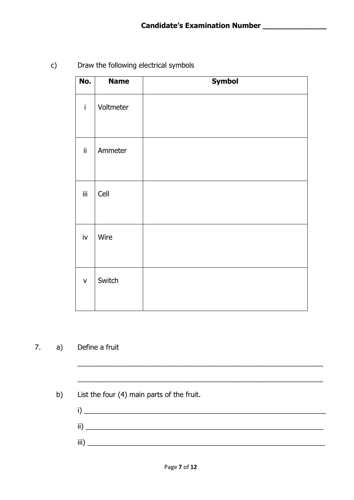c) Draw the following electrical symbols

| No.                    | <b>Name</b> | <b>Symbol</b> |
|------------------------|-------------|---------------|
| $\mathbf{i}$           | Voltmeter   |               |
| ij.                    | Ammeter     |               |
| Ϊİ                     | Cell        |               |
| $\mathsf{i}\mathsf{v}$ | Wire        |               |
| $\mathsf{V}$           | Switch      |               |

## 7. a) Define a fruit

b) List the four (4) main parts of the fruit.

 $i)$   $\overline{\phantom{a}}$ ii) \_\_\_\_\_\_\_\_\_\_\_\_\_\_\_\_\_\_\_\_\_\_\_\_\_\_\_\_\_\_\_\_\_\_\_\_\_\_\_\_\_\_\_\_\_\_\_\_\_\_\_\_\_\_\_\_\_\_\_\_\_ iii) \_\_\_\_\_\_\_\_\_\_\_\_\_\_\_\_\_\_\_\_\_\_\_\_\_\_\_\_\_\_\_\_\_\_\_\_\_\_\_\_\_\_\_\_\_\_\_\_\_\_\_\_\_\_\_\_\_\_\_\_\_

\_\_\_\_\_\_\_\_\_\_\_\_\_\_\_\_\_\_\_\_\_\_\_\_\_\_\_\_\_\_\_\_\_\_\_\_\_\_\_\_\_\_\_\_\_\_\_\_\_\_\_\_\_\_\_\_\_\_\_\_\_\_\_

\_\_\_\_\_\_\_\_\_\_\_\_\_\_\_\_\_\_\_\_\_\_\_\_\_\_\_\_\_\_\_\_\_\_\_\_\_\_\_\_\_\_\_\_\_\_\_\_\_\_\_\_\_\_\_\_\_\_\_\_\_\_\_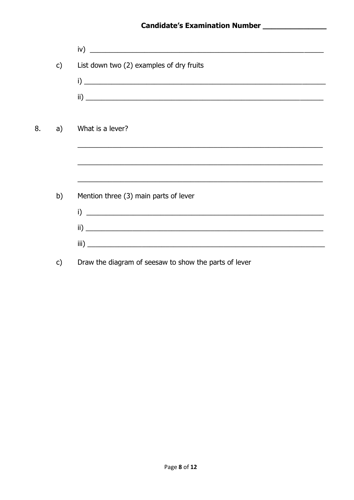|    |              | iv)                                                                                                              |
|----|--------------|------------------------------------------------------------------------------------------------------------------|
|    | $\mathsf{C}$ | List down two (2) examples of dry fruits                                                                         |
|    |              | $i)$ $\overline{\phantom{a}}$                                                                                    |
|    |              |                                                                                                                  |
|    |              |                                                                                                                  |
| 8. | a)           | What is a lever?                                                                                                 |
|    |              |                                                                                                                  |
|    |              |                                                                                                                  |
|    |              | <u> 1990 - Jan James James James James James James James James James James James James James James James Jam</u> |
|    | b)           | Mention three (3) main parts of lever                                                                            |
|    |              | $\mathbf{i}$ ) $\mathbf{j}$                                                                                      |
|    |              |                                                                                                                  |
|    |              |                                                                                                                  |
|    |              |                                                                                                                  |

Draw the diagram of seesaw to show the parts of lever  $c)$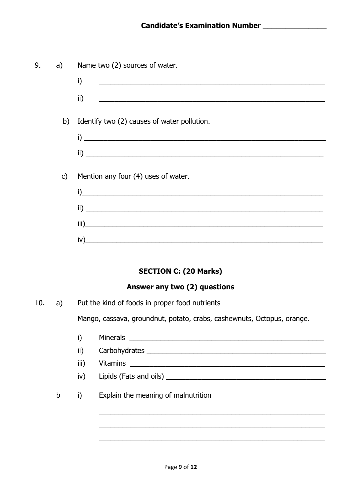| 9. | a)           | Name two (2) sources of water.                                                                                               |
|----|--------------|------------------------------------------------------------------------------------------------------------------------------|
|    |              | i)<br><u> 1989 - Johann John Stone, mars and de British and de British and de British and de British and de British an</u>   |
|    |              | ii)                                                                                                                          |
|    | b)           | Identify two (2) causes of water pollution.                                                                                  |
|    |              |                                                                                                                              |
|    |              |                                                                                                                              |
|    | $\mathsf{C}$ | Mention any four (4) uses of water.                                                                                          |
|    |              | $\mathsf{i}$ )                                                                                                               |
|    |              | <u> 1989 - Johann John Stoff, deutscher Stoffen und der Stoffen und der Stoffen und der Stoffen und der Stoffen u</u><br>ii) |
|    |              | iii)                                                                                                                         |
|    |              | iv)<br><u> 1980 - John Stein, Amerikaansk politiker (</u>                                                                    |
|    |              |                                                                                                                              |

## **SECTION C: (20 Marks)**

#### Answer any two (2) questions

 $10.$ Put the kind of foods in proper food nutrients  $a)$ 

Mango, cassava, groundnut, potato, crabs, cashewnuts, Octopus, orange.

- Minerals <u>and the same of the same of the same of the same of the same of the same of the same of the same of the same of the same of the same of the same of the same of the same of the same of the same of the same of the </u>  $i)$
- $\mathsf{ii}$ Carbohydrates experiences and the contract of the contract of the contract of the contract of the contract of

iii) Vitamins and the contract of the contract of the contract of the contract of the contract of the contract of the contract of the contract of the contract of the contract of the contract of the contract of the contract of t

- $iv)$
- Explain the meaning of malnutrition  $\mathbf b$  $i)$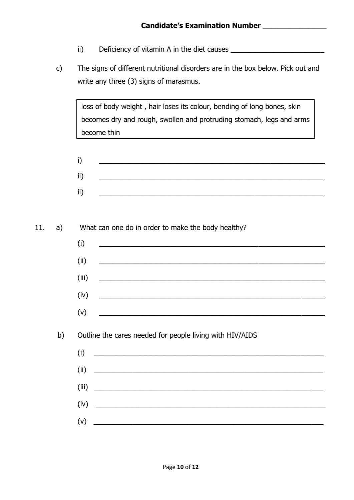- ii) Deficiency of vitamin A in the diet causes \_\_\_\_\_\_\_\_\_\_\_\_\_\_\_\_\_\_\_\_\_\_\_\_\_\_\_\_\_\_\_\_\_
- c) The signs of different nutritional disorders are in the box below. Pick out and write any three (3) signs of marasmus.

loss of body weight , hair loses its colour, bending of long bones, skin becomes dry and rough, swollen and protruding stomach, legs and arms become thin

 $i)$  , and the contract of the contract of the contract of the contract of the contract of the contract of the contract of the contract of the contract of the contract of the contract of the contract of the contract of th ii) \_\_\_\_\_\_\_\_\_\_\_\_\_\_\_\_\_\_\_\_\_\_\_\_\_\_\_\_\_\_\_\_\_\_\_\_\_\_\_\_\_\_\_\_\_\_\_\_\_\_\_\_\_\_\_\_\_\_  $\overline{\text{ii}}$ )  $\overline{\phantom{a}}$   $\overline{\phantom{a}}$   $\overline{\phantom{a}}$   $\overline{\phantom{a}}$   $\overline{\phantom{a}}$   $\overline{\phantom{a}}$   $\overline{\phantom{a}}$   $\overline{\phantom{a}}$   $\overline{\phantom{a}}$   $\overline{\phantom{a}}$   $\overline{\phantom{a}}$   $\overline{\phantom{a}}$   $\overline{\phantom{a}}$   $\overline{\phantom{a}}$   $\overline{\phantom{a}}$   $\overline{\phantom{a}}$   $\overline{\phantom{a}}$   $\overline{\$ 

11. a) What can one do in order to make the body healthy?  $(i)$   $\qquad \qquad \qquad \qquad \qquad$  $\left($ ii)  $\qquad \qquad \qquad$ (iii) \_\_\_\_\_\_\_\_\_\_\_\_\_\_\_\_\_\_\_\_\_\_\_\_\_\_\_\_\_\_\_\_\_\_\_\_\_\_\_\_\_\_\_\_\_\_\_\_\_\_\_\_\_\_\_\_\_\_  $(iv)$   $\blacksquare$  $(v)$   $\qquad \qquad \qquad$  b) Outline the cares needed for people living with HIV/AIDS  $(i)$  $(ii)$ (iii) \_\_\_\_\_\_\_\_\_\_\_\_\_\_\_\_\_\_\_\_\_\_\_\_\_\_\_\_\_\_\_\_\_\_\_\_\_\_\_\_\_\_\_\_\_\_\_\_\_\_\_\_\_\_\_\_\_\_\_  $(iv)$ 

 $(v)$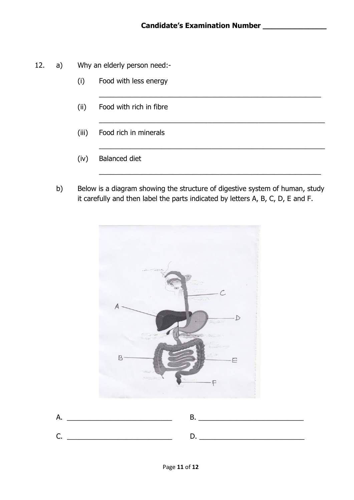\_\_\_\_\_\_\_\_\_\_\_\_\_\_\_\_\_\_\_\_\_\_\_\_\_\_\_\_\_\_\_\_\_\_\_\_\_\_\_\_\_\_\_\_\_\_\_\_\_\_\_\_\_\_\_\_\_

\_\_\_\_\_\_\_\_\_\_\_\_\_\_\_\_\_\_\_\_\_\_\_\_\_\_\_\_\_\_\_\_\_\_\_\_\_\_\_\_\_\_\_\_\_\_\_\_\_\_\_\_\_\_\_\_\_\_

\_\_\_\_\_\_\_\_\_\_\_\_\_\_\_\_\_\_\_\_\_\_\_\_\_\_\_\_\_\_\_\_\_\_\_\_\_\_\_\_\_\_\_\_\_\_\_\_\_\_\_\_\_\_\_\_\_\_

\_\_\_\_\_\_\_\_\_\_\_\_\_\_\_\_\_\_\_\_\_\_\_\_\_\_\_\_\_\_\_\_\_\_\_\_\_\_\_\_\_\_\_\_\_\_\_\_\_\_\_\_\_\_\_\_\_

- 12. a) Why an elderly person need:-
	- (i) Food with less energy
	- (ii) Food with rich in fibre
	- (iii) Food rich in minerals
	- (iv) Balanced diet
	- b) Below is a diagram showing the structure of digestive system of human, study it carefully and then label the parts indicated by letters A, B, C, D, E and F.